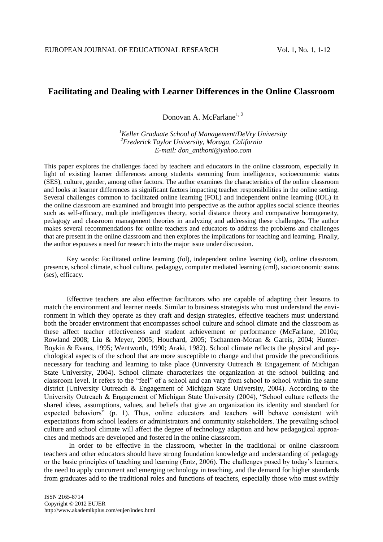# **Facilitating and Dealing with Learner Differences in the Online Classroom**

Donovan A. McFarlane<sup>1, 2</sup>

*<sup>1</sup>Keller Graduate School of Management/DeVry University <sup>2</sup>Frederick Taylor University, Moraga, California E-mail: don\_anthoni@yahoo.com*

This paper explores the challenges faced by teachers and educators in the online classroom, especially in light of existing learner differences among students stemming from intelligence, socioeconomic status (SES), culture, gender, among other factors. The author examines the characteristics of the online classroom and looks at learner differences as significant factors impacting teacher responsibilities in the online setting. Several challenges common to facilitated online learning (FOL) and independent online learning (IOL) in the online classroom are examined and brought into perspective as the author applies social science theories such as self-efficacy, multiple intelligences theory, social distance theory and comparative homogeneity, pedagogy and classroom management theories in analyzing and addressing these challenges. The author makes several recommendations for online teachers and educators to address the problems and challenges that are present in the online classroom and then explores the implications for teaching and learning. Finally, the author espouses a need for research into the major issue under discussion.

Key words: Facilitated online learning (fol), independent online learning (iol), online classroom, presence, school climate, school culture, pedagogy, computer mediated learning (cml), socioeconomic status (ses), efficacy.

Effective teachers are also effective facilitators who are capable of adapting their lessons to match the environment and learner needs. Similar to business strategists who must understand the environment in which they operate as they craft and design strategies, effective teachers must understand both the broader environment that encompasses school culture and school climate and the classroom as these affect teacher effectiveness and student achievement or performance (McFarlane, 2010a; Rowland 2008; Liu & Meyer, 2005; Houchard, 2005; Tschannen-Moran & Gareis, 2004; Hunter-Boykin & Evans, 1995; Wentworth, 1990; Araki, 1982). School climate reflects the physical and psychological aspects of the school that are more susceptible to change and that provide the preconditions necessary for teaching and learning to take place (University Outreach & Engagement of Michigan State University, 2004). School climate characterizes the organization at the school building and classroom level. It refers to the "feel" of a school and can vary from school to school within the same district (University Outreach & Engagement of Michigan State University, 2004). According to the University Outreach & Engagement of Michigan State University (2004), "School culture reflects the shared ideas, assumptions, values, and beliefs that give an organization its identity and standard for expected behaviors" (p. 1). Thus, online educators and teachers will behave consistent with expectations from school leaders or administrators and community stakeholders. The prevailing school culture and school climate will affect the degree of technology adaption and how pedagogical approaches and methods are developed and fostered in the online classroom.

In order to be effective in the classroom, whether in the traditional or online classroom teachers and other educators should have strong foundation knowledge and understanding of pedagogy or the basic principles of teaching and learning (Entz, 2006). The challenges posed by today's learners, the need to apply concurrent and emerging technology in teaching, and the demand for higher standards from graduates add to the traditional roles and functions of teachers, especially those who must swiftly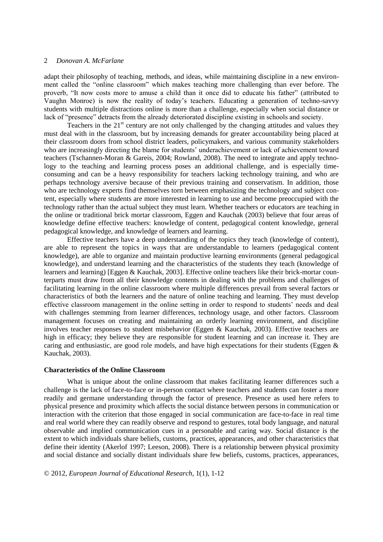adapt their philosophy of teaching, methods, and ideas, while maintaining discipline in a new environment called the "online classroom" which makes teaching more challenging than ever before. The proverb, "It now costs more to amuse a child than it once did to educate his father" (attributed to Vaughn Monroe) is now the reality of today's teachers. Educating a generation of techno-savvy students with multiple distractions online is more than a challenge, especially when social distance or lack of "presence" detracts from the already deteriorated discipline existing in schools and society.

Teachers in the  $21<sup>st</sup>$  century are not only challenged by the changing attitudes and values they must deal with in the classroom, but by increasing demands for greater accountability being placed at their classroom doors from school district leaders, policymakers, and various community stakeholders who are increasingly directing the blame for students' underachievement or lack of achievement toward teachers (Tschannen-Moran & Gareis, 2004; Rowland, 2008). The need to integrate and apply technology to the teaching and learning process poses an additional challenge, and is especially timeconsuming and can be a heavy responsibility for teachers lacking technology training, and who are perhaps technology aversive because of their previous training and conservatism. In addition, those who are technology experts find themselves torn between emphasizing the technology and subject content, especially where students are more interested in learning to use and become preoccupied with the technology rather than the actual subject they must learn. Whether teachers or educators are teaching in the online or traditional brick mortar classroom, Eggen and Kauchak (2003) believe that four areas of knowledge define effective teachers: knowledge of content, pedagogical content knowledge, general pedagogical knowledge, and knowledge of learners and learning.

Effective teachers have a deep understanding of the topics they teach (knowledge of content), are able to represent the topics in ways that are understandable to learners (pedagogical content knowledge), are able to organize and maintain productive learning environments (general pedagogical knowledge), and understand learning and the characteristics of the students they teach (knowledge of learners and learning) [Eggen & Kauchak, 2003]. Effective online teachers like their brick-mortar counterparts must draw from all their knowledge contents in dealing with the problems and challenges of facilitating learning in the online classroom where multiple differences prevail from several factors or characteristics of both the learners and the nature of online teaching and learning. They must develop effective classroom management in the online setting in order to respond to students' needs and deal with challenges stemming from learner differences, technology usage, and other factors. Classroom management focuses on creating and maintaining an orderly learning environment, and discipline involves teacher responses to student misbehavior (Eggen & Kauchak, 2003). Effective teachers are high in efficacy; they believe they are responsible for student learning and can increase it. They are caring and enthusiastic, are good role models, and have high expectations for their students (Eggen & Kauchak, 2003).

## **Characteristics of the Online Classroom**

What is unique about the online classroom that makes facilitating learner differences such a challenge is the lack of face-to-face or in-person contact where teachers and students can foster a more readily and germane understanding through the factor of presence. Presence as used here refers to physical presence and proximity which affects the social distance between persons in communication or interaction with the criterion that those engaged in social communication are face-to-face in real time and real world where they can readily observe and respond to gestures, total body language, and natural observable and implied communication cues in a personable and caring way. Social distance is the extent to which individuals share beliefs, customs, practices, appearances, and other characteristics that define their identity (Akerlof 1997; Leeson, 2008). There is a relationship between physical proximity and social distance and socially distant individuals share few beliefs, customs, practices, appearances,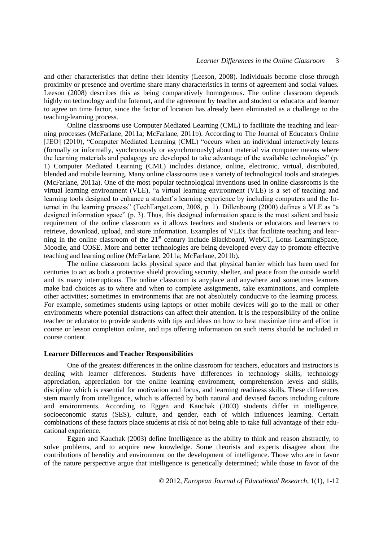and other characteristics that define their identity (Leeson, 2008). Individuals become close through proximity or presence and overtime share many characteristics in terms of agreement and social values. Leeson (2008) describes this as being comparatively homogenous. The online classroom depends highly on technology and the Internet, and the agreement by teacher and student or educator and learner to agree on time factor, since the factor of location has already been eliminated as a challenge to the teaching-learning process.

Online classrooms use Computer Mediated Learning (CML) to facilitate the teaching and learning processes (McFarlane, 2011a; McFarlane, 2011b). According to The Journal of Educators Online [JEO] (2010), "Computer Mediated Learning (CML) "occurs when an individual interactively learns (formally or informally, synchronously or asynchronously) about material via computer means where the learning materials and pedagogy are developed to take advantage of the available technologies" (p. 1) Computer Mediated Learning (CML) includes distance, online, electronic, virtual, distributed, blended and mobile learning. Many online classrooms use a variety of technological tools and strategies (McFarlane, 2011a). One of the most popular technological inventions used in online classrooms is the virtual learning environment (VLE), "a virtual learning environment (VLE) is a set of teaching and learning tools designed to enhance a student's learning experience by including computers and the Internet in the learning process" (TechTarget.com, 2008, p. 1). Dillenbourg (2000) defines a VLE as "a designed information space" (p. 3). Thus, this designed information space is the most salient and basic requirement of the online classroom as it allows teachers and students or educators and learners to retrieve, download, upload, and store information. Examples of VLEs that facilitate teaching and learning in the online classroom of the 21<sup>st</sup> century include Blackboard, WebCT, Lotus LearningSpace, Moodle, and COSE. More and better technologies are being developed every day to promote effective teaching and learning online (McFarlane, 2011a; McFarlane, 2011b).

The online classroom lacks physical space and that physical barrier which has been used for centuries to act as both a protective shield providing security, shelter, and peace from the outside world and its many interruptions. The online classroom is anyplace and anywhere and sometimes learners make bad choices as to where and when to complete assignments, take examinations, and complete other activities; sometimes in environments that are not absolutely conducive to the learning process. For example, sometimes students using laptops or other mobile devices will go to the mall or other environments where potential distractions can affect their attention. It is the responsibility of the online teacher or educator to provide students with tips and ideas on how to best maximize time and effort in course or lesson completion online, and tips offering information on such items should be included in course content.

#### **Learner Differences and Teacher Responsibilities**

One of the greatest differences in the online classroom for teachers, educators and instructors is dealing with learner differences. Students have differences in technology skills, technology appreciation, appreciation for the online learning environment, comprehension levels and skills, discipline which is essential for motivation and focus, and learning readiness skills. These differences stem mainly from intelligence, which is affected by both natural and devised factors including culture and environments. According to Eggen and Kauchak (2003) students differ in intelligence, socioeconomic status (SES), culture, and gender, each of which influences learning. Certain combinations of these factors place students at risk of not being able to take full advantage of their educational experience.

Eggen and Kauchak (2003) define Intelligence as the ability to think and reason abstractly, to solve problems, and to acquire new knowledge. Some theorists and experts disagree about the contributions of heredity and environment on the development of intelligence. Those who are in favor of the nature perspective argue that intelligence is genetically determined; while those in favor of the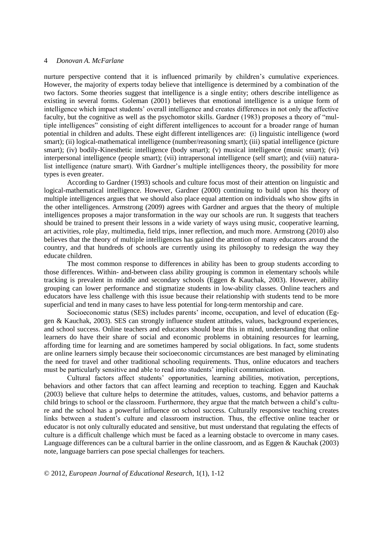nurture perspective contend that it is influenced primarily by children's cumulative experiences. However, the majority of experts today believe that intelligence is determined by a combination of the two factors. Some theories suggest that intelligence is a single entity; others describe intelligence as existing in several forms. Goleman (2001) believes that emotional intelligence is a unique form of intelligence which impact students' overall intelligence and creates differences in not only the affective faculty, but the cognitive as well as the psychomotor skills. Gardner (1983) proposes a theory of "multiple intelligences" consisting of eight different intelligences to account for a broader range of human potential in children and adults. These eight different intelligences are: (i) linguistic intelligence (word smart); (ii) logical-mathematical intelligence (number/reasoning smart); (iii) spatial intelligence (picture smart); (iv) bodily-Kinesthetic intelligence (body smart); (v) musical intelligence (music smart); (vi) interpersonal intelligence (people smart); (vii) intrapersonal intelligence (self smart); and (viii) naturalist intelligence (nature smart). With Gardner's multiple intelligences theory, the possibility for more types is even greater.

According to Gardner (1993) schools and culture focus most of their attention on linguistic and logical-mathematical intelligence. However, Gardner (2000) continuing to build upon his theory of multiple intelligences argues that we should also place equal attention on individuals who show gifts in the other intelligences. Armstrong (2009) agrees with Gardner and argues that the theory of multiple intelligences proposes a major transformation in the way our schools are run. It suggests that teachers should be trained to present their lessons in a wide variety of ways using music, cooperative learning, art activities, role play, multimedia, field trips, inner reflection, and much more. Armstrong (2010) also believes that the theory of multiple intelligences has gained the attention of many educators around the country, and that hundreds of schools are currently using its philosophy to redesign the way they educate children.

The most common response to differences in ability has been to group students according to those differences. Within- and-between class ability grouping is common in elementary schools while tracking is prevalent in middle and secondary schools (Eggen & Kauchak, 2003). However, ability grouping can lower performance and stigmatize students in low-ability classes. Online teachers and educators have less challenge with this issue because their relationship with students tend to be more superficial and tend in many cases to have less potential for long-term mentorship and care.

Socioeconomic status (SES) includes parents' income, occupation, and level of education (Eggen & Kauchak, 2003). SES can strongly influence student attitudes, values, background experiences, and school success. Online teachers and educators should bear this in mind, understanding that online learners do have their share of social and economic problems in obtaining resources for learning, affording time for learning and are sometimes hampered by social obligations. In fact, some students are online learners simply because their socioeconomic circumstances are best managed by eliminating the need for travel and other traditional schooling requirements. Thus, online educators and teachers must be particularly sensitive and able to read into students' implicit communication.

Cultural factors affect students' opportunities, learning abilities, motivation, perceptions, behaviors and other factors that can affect learning and reception to teaching. Eggen and Kauchak (2003) believe that culture helps to determine the attitudes, values, customs, and behavior patterns a child brings to school or the classroom. Furthermore, they argue that the match between a child's culture and the school has a powerful influence on school success. Culturally responsive teaching creates links between a student's culture and classroom instruction. Thus, the effective online teacher or educator is not only culturally educated and sensitive, but must understand that regulating the effects of culture is a difficult challenge which must be faced as a learning obstacle to overcome in many cases. Language differences can be a cultural barrier in the online classroom, and as Eggen & Kauchak (2003) note, language barriers can pose special challenges for teachers.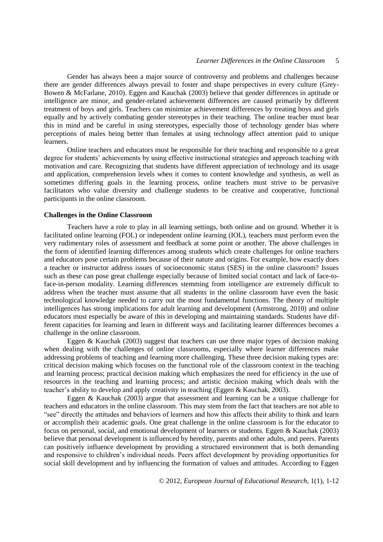Gender has always been a major source of controversy and problems and challenges because there are gender differences always prevail to foster and shape perspectives in every culture (Grey-Bowen & McFarlane, 2010). Eggen and Kauchak (2003) believe that gender differences in aptitude or intelligence are minor, and gender-related achievement differences are caused primarily by different treatment of boys and girls. Teachers can minimize achievement differences by treating boys and girls equally and by actively combating gender stereotypes in their teaching. The online teacher must bear this in mind and be careful in using stereotypes, especially those of technology gender bias where perceptions of males being better than females at using technology affect attention paid to unique learners.

Online teachers and educators must be responsible for their teaching and responsible to a great degree for students' achievements by using effective instructional strategies and approach teaching with motivation and care. Recognizing that students have different appreciation of technology and its usage and application, comprehension levels when it comes to content knowledge and synthesis, as well as sometimes differing goals in the learning process, online teachers must strive to be pervasive facilitators who value diversity and challenge students to be creative and cooperative, functional participants in the online classroom.

## **Challenges in the Online Classroom**

Teachers have a role to play in all learning settings, both online and on ground. Whether it is facilitated online learning (FOL) or independent online learning (IOL), teachers must perform even the very rudimentary roles of assessment and feedback at some point or another. The above challenges in the form of identified learning differences among students which create challenges for online teachers and educators pose certain problems because of their nature and origins. For example, how exactly does a teacher or instructor address issues of socioeconomic status (SES) in the online classroom? Issues such as these can pose great challenge especially because of limited social contact and lack of face-toface-in-person modality. Learning differences stemming from intelligence are extremely difficult to address when the teacher must assume that all students in the online classroom have even the basic technological knowledge needed to carry out the most fundamental functions. The theory of multiple intelligences has strong implications for adult learning and development (Armstrong, 2010) and online educators must especially be aware of this in developing and maintaining standards. Students have different capacities for learning and learn in different ways and facilitating learner differences becomes a challenge in the online classroom.

Eggen & Kauchak (2003) suggest that teachers can use three major types of decision making when dealing with the challenges of online classrooms, especially where learner differences make addressing problems of teaching and learning more challenging. These three decision making types are: critical decision making which focuses on the functional role of the classroom context in the teaching and learning process; practical decision making which emphasizes the need for efficiency in the use of resources in the teaching and learning process; and artistic decision making which deals with the teacher's ability to develop and apply creativity in teaching (Eggen & Kauchak, 2003).

Eggen & Kauchak (2003) argue that assessment and learning can be a unique challenge for teachers and educators in the online classroom. This may stem from the fact that teachers are not able to "see" directly the attitudes and behaviors of learners and how this affects their ability to think and learn or accomplish their academic goals. One great challenge in the online classroom is for the educator to focus on personal, social, and emotional development of learners or students. Eggen & Kauchak (2003) believe that personal development is influenced by heredity, parents and other adults, and peers. Parents can positively influence development by providing a structured environment that is both demanding and responsive to children's individual needs. Peers affect development by providing opportunities for social skill development and by influencing the formation of values and attitudes. According to Eggen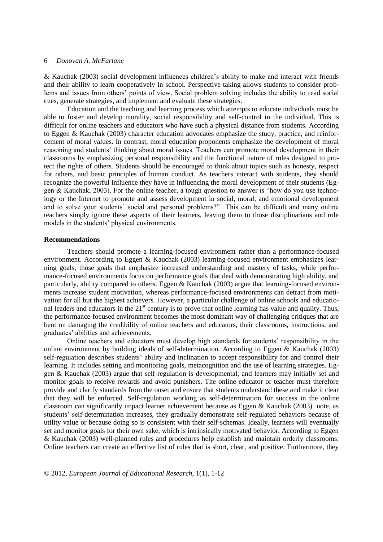& Kauchak (2003) social development influences children's ability to make and interact with friends and their ability to learn cooperatively in school. Perspective taking allows students to consider problems and issues from others' points of view. Social problem solving includes the ability to read social cues, generate strategies, and implement and evaluate these strategies.

Education and the teaching and learning process which attempts to educate individuals must be able to foster and develop morality, social responsibility and self-control in the individual. This is difficult for online teachers and educators who have such a physical distance from students. According to Eggen & Kauchak (2003) character education advocates emphasize the study, practice, and reinforcement of moral values. In contrast, moral education proponents emphasize the development of moral reasoning and students' thinking about moral issues. Teachers can promote moral development in their classrooms by emphasizing personal responsibility and the functional nature of rules designed to protect the rights of others. Students should be encouraged to think about topics such as honesty, respect for others, and basic principles of human conduct. As teachers interact with students, they should recognize the powerful influence they have in influencing the moral development of their students (Eggen & Kauchak, 2003). For the online teacher, a tough question to answer is "how do you use technology or the Internet to promote and assess development in social, moral, and emotional development and to solve your students' social and personal problems?" This can be difficult and many online teachers simply ignore these aspects of their learners, leaving them to those disciplinarians and role models in the students' physical environments.

#### **Recommendations**

Teachers should promote a learning-focused environment rather than a performance-focused environment. According to Eggen & Kauchak (2003) learning-focused environment emphasizes learning goals, those goals that emphasize increased understanding and mastery of tasks, while performance-focused environments focus on performance goals that deal with demonstrating high ability, and particularly, ability compared to others. Eggen & Kauchak (2003) argue that learning-focused environments increase student motivation, whereas performance-focused environments can detract from motivation for all but the highest achievers. However, a particular challenge of online schools and educational leaders and educators in the  $21<sup>st</sup>$  century is to prove that online learning has value and quality. Thus, the performance-focused environment becomes the most dominant way of challenging critiques that are bent on damaging the credibility of online teachers and educators, their classrooms, instructions, and graduates' abilities and achievements.

Online teachers and educators must develop high standards for students' responsibility in the online environment by building ideals of self-determination. According to Eggen & Kauchak (2003) self-regulation describes students' ability and inclination to accept responsibility for and control their learning. It includes setting and monitoring goals, metacognition and the use of learning strategies. Eggen & Kauchak (2003) argue that self-regulation is developmental, and learners may initially set and monitor goals to receive rewards and avoid punishers. The online educator or teacher must therefore provide and clarify standards from the onset and ensure that students understand these and make it clear that they will be enforced. Self-regulation working as self-determination for success in the online classroom can significantly impact learner achievement because as Eggen & Kauchak (2003) note, as students' self-determination increases, they gradually demonstrate self-regulated behaviors because of utility value or because doing so is consistent with their self-schemas. Ideally, learners will eventually set and monitor goals for their own sake, which is intrinsically motivated behavior. According to Eggen & Kauchak (2003) well-planned rules and procedures help establish and maintain orderly classrooms. Online teachers can create an effective list of rules that is short, clear, and positive. Furthermore, they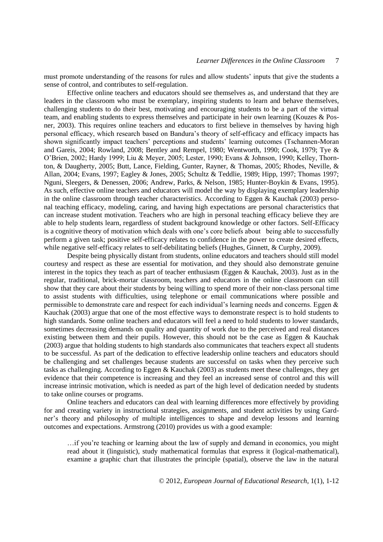must promote understanding of the reasons for rules and allow students' inputs that give the students a sense of control, and contributes to self-regulation.

Effective online teachers and educators should see themselves as, and understand that they are leaders in the classroom who must be exemplary, inspiring students to learn and behave themselves, challenging students to do their best, motivating and encouraging students to be a part of the virtual team, and enabling students to express themselves and participate in heir own learning (Kouzes & Posner, 2003). This requires online teachers and educators to first believe in themselves by having high personal efficacy, which research based on Bandura's theory of self-efficacy and efficacy impacts has shown significantly impact teachers' perceptions and students' learning outcomes (Tschannen-Moran and Gareis, 2004; Rowland, 2008; Bentley and Rempel, 1980; Wentworth, 1990; Cook, 1979; Tye & O'Brien, 2002; Hardy 1999; Liu & Meyer, 2005; Lester, 1990; Evans & Johnson, 1990; Kelley, Thornton, & Daugherty, 2005; Butt, Lance, Fielding, Gunter, Rayner, & Thomas, 2005; Rhodes, Neville, & Allan, 2004; Evans, 1997; Eagley & Jones, 2005; Schultz & Teddlie, 1989; Hipp, 1997; Thomas 1997; Nguni, Sleegers, & Denessen, 2006; Andrew, Parks, & Nelson, 1985; Hunter-Boykin & Evans, 1995). As such, effective online teachers and educators will model the way by displaying exemplary leadership in the online classroom through teacher characteristics. According to Eggen  $&$  Kauchak (2003) personal teaching efficacy, modeling, caring, and having high expectations are personal characteristics that can increase student motivation. Teachers who are high in personal teaching efficacy believe they are able to help students learn, regardless of student background knowledge or other factors. Self-Efficacy is a cognitive theory of motivation which deals with one's core beliefs about being able to successfully perform a given task; positive self-efficacy relates to confidence in the power to create desired effects, while negative self-efficacy relates to self-debilitating beliefs (Hughes, Ginnett, & Curphy, 2009).

Despite being physically distant from students, online educators and teachers should still model courtesy and respect as these are essential for motivation, and they should also demonstrate genuine interest in the topics they teach as part of teacher enthusiasm (Eggen & Kauchak, 2003). Just as in the regular, traditional, brick-mortar classroom, teachers and educators in the online classroom can still show that they care about their students by being willing to spend more of their non-class personal time to assist students with difficulties, using telephone or email communications where possible and permissible to demonstrate care and respect for each individual's learning needs and concerns. Eggen & Kauchak (2003) argue that one of the most effective ways to demonstrate respect is to hold students to high standards. Some online teachers and educators will feel a need to hold students to lower standards, sometimes decreasing demands on quality and quantity of work due to the perceived and real distances existing between them and their pupils. However, this should not be the case as Eggen & Kauchak (2003) argue that holding students to high standards also communicates that teachers expect all students to be successful. As part of the dedication to effective leadership online teachers and educators should be challenging and set challenges because students are successful on tasks when they perceive such tasks as challenging. According to Eggen & Kauchak (2003) as students meet these challenges, they get evidence that their competence is increasing and they feel an increased sense of control and this will increase intrinsic motivation, which is needed as part of the high level of dedication needed by students to take online courses or programs.

Online teachers and educators can deal with learning differences more effectively by providing for and creating variety in instructional strategies, assignments, and student activities by using Gardner's theory and philosophy of multiple intelligences to shape and develop lessons and learning outcomes and expectations. Armstrong (2010) provides us with a good example:

…if you're teaching or learning about the law of supply and demand in economics, you might read about it (linguistic), study mathematical formulas that express it (logical-mathematical), examine a graphic chart that illustrates the principle (spatial), observe the law in the natural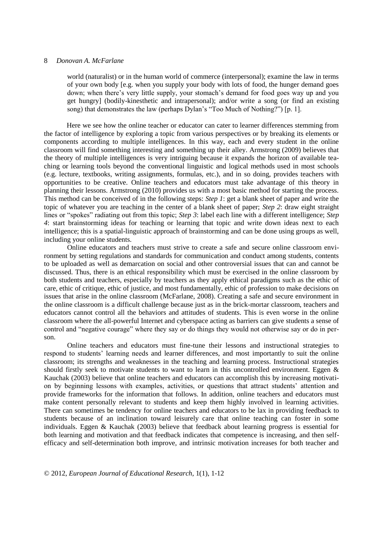world (naturalist) or in the human world of commerce (interpersonal); examine the law in terms of your own body [e.g. when you supply your body with lots of food, the hunger demand goes down; when there's very little supply, your stomach's demand for food goes way up and you get hungry] (bodily-kinesthetic and intrapersonal); and/or write a song (or find an existing song) that demonstrates the law (perhaps Dylan's "Too Much of Nothing?") [p. 1].

Here we see how the online teacher or educator can cater to learner differences stemming from the factor of intelligence by exploring a topic from various perspectives or by breaking its elements or components according to multiple intelligences. In this way, each and every student in the online classroom will find something interesting and something up their alley. Armstrong (2009) believes that the theory of multiple intelligences is very intriguing because it expands the horizon of available teaching or learning tools beyond the conventional linguistic and logical methods used in most schools (e.g. lecture, textbooks, writing assignments, formulas, etc.), and in so doing, provides teachers with opportunities to be creative. Online teachers and educators must take advantage of this theory in planning their lessons. Armstrong (2010) provides us with a most basic method for starting the process. This method can be conceived of in the following steps: *Step 1*: get a blank sheet of paper and write the topic of whatever you are teaching in the center of a blank sheet of paper; *Step 2*: draw eight straight lines or "spokes" radiating out from this topic; *Step 3*: label each line with a different intelligence; *Step 4*: start brainstorming ideas for teaching or learning that topic and write down ideas next to each intelligence; this is a spatial-linguistic approach of brainstorming and can be done using groups as well, including your online students.

Online educators and teachers must strive to create a safe and secure online classroom environment by setting regulations and standards for communication and conduct among students, contents to be uploaded as well as demarcation on social and other controversial issues that can and cannot be discussed. Thus, there is an ethical responsibility which must be exercised in the online classroom by both students and teachers, especially by teachers as they apply ethical paradigms such as the ethic of care, ethic of critique, ethic of justice, and most fundamentally, ethic of profession to make decisions on issues that arise in the online classroom (McFarlane, 2008). Creating a safe and secure environment in the online classroom is a difficult challenge because just as in the brick-mortar classroom, teachers and educators cannot control all the behaviors and attitudes of students. This is even worse in the online classroom where the all-powerful Internet and cyberspace acting as barriers can give students a sense of control and "negative courage" where they say or do things they would not otherwise say or do in person.

Online teachers and educators must fine-tune their lessons and instructional strategies to respond to students' learning needs and learner differences, and most importantly to suit the online classroom; its strengths and weaknesses in the teaching and learning process. Instructional strategies should firstly seek to motivate students to want to learn in this uncontrolled environment. Eggen & Kauchak (2003) believe that online teachers and educators can accomplish this by increasing motivation by beginning lessons with examples, activities, or questions that attract students' attention and provide frameworks for the information that follows. In addition, online teachers and educators must make content personally relevant to students and keep them highly involved in learning activities. There can sometimes be tendency for online teachers and educators to be lax in providing feedback to students because of an inclination toward leisurely care that online teaching can foster in some individuals. Eggen & Kauchak (2003) believe that feedback about learning progress is essential for both learning and motivation and that feedback indicates that competence is increasing, and then selfefficacy and self-determination both improve, and intrinsic motivation increases for both teacher and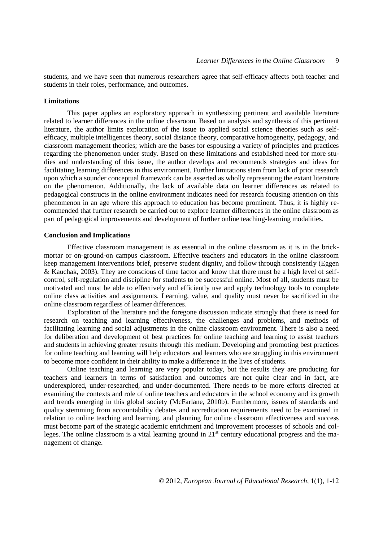students, and we have seen that numerous researchers agree that self-efficacy affects both teacher and students in their roles, performance, and outcomes.

#### **Limitations**

This paper applies an exploratory approach in synthesizing pertinent and available literature related to learner differences in the online classroom. Based on analysis and synthesis of this pertinent literature, the author limits exploration of the issue to applied social science theories such as selfefficacy, multiple intelligences theory, social distance theory, comparative homogeneity, pedagogy, and classroom management theories; which are the bases for espousing a variety of principles and practices regarding the phenomenon under study. Based on these limitations and established need for more studies and understanding of this issue, the author develops and recommends strategies and ideas for facilitating learning differences in this environment. Further limitations stem from lack of prior research upon which a sounder conceptual framework can be asserted as wholly representing the extant literature on the phenomenon. Additionally, the lack of available data on learner differences as related to pedagogical constructs in the online environment indicates need for research focusing attention on this phenomenon in an age where this approach to education has become prominent. Thus, it is highly recommended that further research be carried out to explore learner differences in the online classroom as part of pedagogical improvements and development of further online teaching-learning modalities.

#### **Conclusion and Implications**

Effective classroom management is as essential in the online classroom as it is in the brickmortar or on-ground-on campus classroom. Effective teachers and educators in the online classroom keep management interventions brief, preserve student dignity, and follow through consistently (Eggen & Kauchak, 2003). They are conscious of time factor and know that there must be a high level of selfcontrol, self-regulation and discipline for students to be successful online. Most of all, students must be motivated and must be able to effectively and efficiently use and apply technology tools to complete online class activities and assignments. Learning, value, and quality must never be sacrificed in the online classroom regardless of learner differences.

Exploration of the literature and the foregone discussion indicate strongly that there is need for research on teaching and learning effectiveness, the challenges and problems, and methods of facilitating learning and social adjustments in the online classroom environment. There is also a need for deliberation and development of best practices for online teaching and learning to assist teachers and students in achieving greater results through this medium. Developing and promoting best practices for online teaching and learning will help educators and learners who are struggling in this environment to become more confident in their ability to make a difference in the lives of students.

Online teaching and learning are very popular today, but the results they are producing for teachers and learners in terms of satisfaction and outcomes are not quite clear and in fact, are underexplored, under-researched, and under-documented. There needs to be more efforts directed at examining the contexts and role of online teachers and educators in the school economy and its growth and trends emerging in this global society (McFarlane, 2010b). Furthermore, issues of standards and quality stemming from accountability debates and accreditation requirements need to be examined in relation to online teaching and learning, and planning for online classroom effectiveness and success must become part of the strategic academic enrichment and improvement processes of schools and colleges. The online classroom is a vital learning ground in  $21<sup>st</sup>$  century educational progress and the management of change.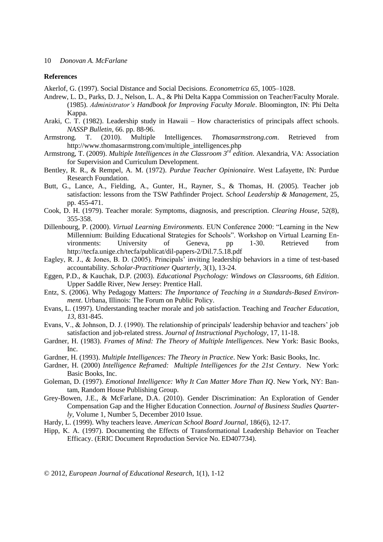#### **References**

Akerlof, G. (1997). Social Distance and Social Decisions. *Econometrica 65*, 1005–1028.

- Andrew, L. D., Parks, D. J., Nelson, L. A., & Phi Delta Kappa Commission on Teacher/Faculty Morale. (1985). *Administrator's Handbook for Improving Faculty Morale*. Bloomington, IN: Phi Delta Kappa.
- Araki, C. T. (1982). Leadership study in Hawaii How characteristics of principals affect schools. *NASSP Bulletin*, 66. pp. 88-96.
- Armstrong. T. (2010). Multiple Intelligences. *Thomasarmstrong.com*. Retrieved from http://www.thomasarmstrong.com/multiple\_intelligences.php
- Armstrong, T. (2009). *Multiple Intelligences in the Classroom 3rd edition*. Alexandria, VA: Association for Supervision and Curriculum Development.
- Bentley, R. R., & Rempel, A. M. (1972). *Purdue Teacher Opinionaire*. West Lafayette, IN: Purdue Research Foundation.
- Butt, G., Lance, A., Fielding, A., Gunter, H., Rayner, S., & Thomas, H. (2005). Teacher job satisfaction: lessons from the TSW Pathfinder Project. *School Leadership & Management*, 25, pp. 455-471.
- Cook, D. H. (1979). Teacher morale: Symptoms, diagnosis, and prescription. *Clearing House*, 52(8), 355-358.
- Dillenbourg, P. (2000). *Virtual Learning Environments*. EUN Conference 2000: "Learning in the New Millennium: Building Educational Strategies for Schools". Workshop on Virtual Learning Environments: University of Geneva, pp 1-30. Retrieved from http://tecfa.unige.ch/tecfa/publicat/dil-papers-2/Dil.7.5.18.pdf
- Eagley, R. J., & Jones, B. D. (2005). Principals' inviting leadership behaviors in a time of test-based accountability. *Scholar-Practitioner Quarterly*, 3(1), 13-24.
- Eggen, P.D., & Kauchak, D.P. (2003). *Educational Psychology: Windows on Classrooms, 6th Edition*. Upper Saddle River, New Jersey: Prentice Hall.
- Entz, S. (2006). Why Pedagogy Matters: *The Importance of Teaching in a Standards-Based Environment*. Urbana, Illinois: The Forum on Public Policy.
- Evans, L. (1997). Understanding teacher morale and job satisfaction. Teaching and *Teacher Education*, *13*, 831-845.
- Evans, V., & Johnson, D. J. (1990). The relationship of principals' leadership behavior and teachers' job satisfaction and job-related stress. *Journal of Instructional Psychology*, 17, 11-18.
- Gardner, H. (1983). *Frames of Mind: The Theory of Multiple Intelligences*. New York: Basic Books, Inc.
- Gardner, H. (1993). *Multiple Intelligences: The Theory in Practice*. New York: Basic Books, Inc.
- Gardner, H. (2000) *Intelligence Reframed: Multiple Intelligences for the 21st Century*. New York: Basic Books, Inc.
- Goleman, D. (1997). *Emotional Intelligence: Why It Can Matter More Than IQ*. New York, NY: Bantam, Random House Publishing Group.
- Grey-Bowen, J.E., & McFarlane, D.A. (2010). Gender Discrimination: An Exploration of Gender Compensation Gap and the Higher Education Connection. *Journal of Business Studies Quarterly*, Volume 1, Number 5, December 2010 Issue.
- Hardy, L. (1999). Why teachers leave. *American School Board Journal*, 186(6), 12-17.
- Hipp, K. A. (1997). Documenting the Effects of Transformational Leadership Behavior on Teacher Efficacy. (ERIC Document Reproduction Service No. ED407734).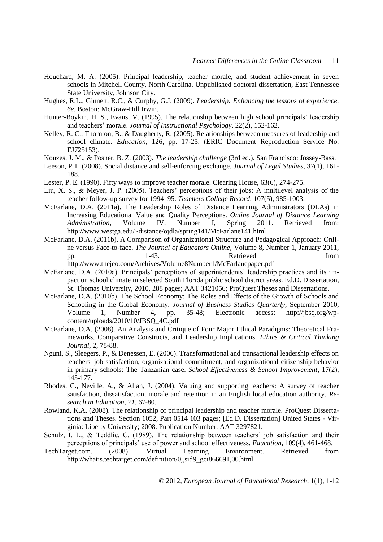- Houchard, M. A. (2005). Principal leadership, teacher morale, and student achievement in seven schools in Mitchell County, North Carolina. Unpublished doctoral dissertation, East Tennessee State University, Johnson City.
- Hughes, R.L., Ginnett, R.C., & Curphy, G.J. (2009). *Leadership: Enhancing the lessons of experience, 6e*. Boston: McGraw-Hill Irwin.
- Hunter-Boykin, H. S., Evans, V. (1995). The relationship between high school principals' leadership and teachers' morale. *Journal of Instructional Psychology*, 22(2), 152-162.
- Kelley, R. C., Thornton, B., & Daugherty, R. (2005). Relationships between measures of leadership and school climate. *Education*, 126, pp. 17-25. (ERIC Document Reproduction Service No. EJ725153).
- Kouzes, J. M., & Posner, B. Z. (2003). *The leadership challenge* (3rd ed.). San Francisco: Jossey-Bass.
- Leeson, P.T. (2008). Social distance and self-enforcing exchange. *Journal of Legal Studies*, 37(1), 161- 188.
- Lester, P. E. (1990). Fifty ways to improve teacher morale. Clearing House, 63(6), 274-275.
- Liu, X. S., & Meyer, J. P. (2005). Teachers' perceptions of their jobs: A multilevel analysis of the teacher follow-up survey for 1994–95. *Teachers College Record*, 107(5), 985-1003.
- McFarlane, D.A. (2011a). The Leadership Roles of Distance Learning Administrators (DLAs) in Increasing Educational Value and Quality Perceptions. *Online Journal of Distance Learning Administration,* Volume IV, Number I, Spring 2011. Retrieved from: http://www.westga.edu/~distance/ojdla/spring141/McFarlane141.html
- McFarlane, D.A. (2011b). A Comparison of Organizational Structure and Pedagogical Approach: Online versus Face-to-face. *The Journal of Educators Online*, Volume 8, Number 1, January 2011, pp. 1-43. And the settlement of the settlement of the settlement of the settlement of the settlement of the set of the set of the set of the set of the set of the set of the set of the set of the set of the set of the set http://www.thejeo.com/Archives/Volume8Number1/McFarlanepaper.pdf
- McFarlane, D.A. (2010a). Principals' perceptions of superintendents' leadership practices and its impact on school climate in selected South Florida public school district areas. Ed.D. Dissertation, St. Thomas University, 2010, 288 pages; AAT 3421056; ProQuest Theses and Dissertations.
- McFarlane, D.A. (2010b). The School Economy: The Roles and Effects of the Growth of Schools and Schooling in the Global Economy. *Journal of Business Studies Quarterly*, September 2010, Volume 1, Number 4, pp. 35-48; Electronic access: http://jbsq.org/wpcontent/uploads/2010/10/JBSQ\_4C.pdf
- McFarlane, D.A. (2008). An Analysis and Critique of Four Major Ethical Paradigms: Theoretical Frameworks, Comparative Constructs, and Leadership Implications. *Ethics & Critical Thinking Journal*, 2, 78-88.
- Nguni, S., Sleegers, P., & Denessen, E. (2006). Transformational and transactional leadership effects on teachers' job satisfaction, organizational commitment, and organizational citizenship behavior in primary schools: The Tanzanian case. *School Effectiveness & School Improvement*, 17(2), 145-177.
- Rhodes, C., Neville, A., & Allan, J. (2004). Valuing and supporting teachers: A survey of teacher satisfaction, dissatisfaction, morale and retention in an English local education authority. *Research in Education*, *71*, 67-80.
- Rowland, K.A. (2008). The relationship of principal leadership and teacher morale. ProQuest Dissertations and Theses. Section 1052, Part 0514 103 pages; [Ed.D. Dissertation] United States - Virginia: Liberty University; 2008. Publication Number: AAT 3297821.
- Schulz, I. L., & Teddlie, C. (1989). The relationship between teachers' job satisfaction and their perceptions of principals' use of power and school effectiveness. *Education*, 109(4), 461-468.
- TechTarget.com. (2008). Virtual Learning Environment. Retrieved from http://whatis.techtarget.com/definition/0,,sid9\_gci866691,00.html